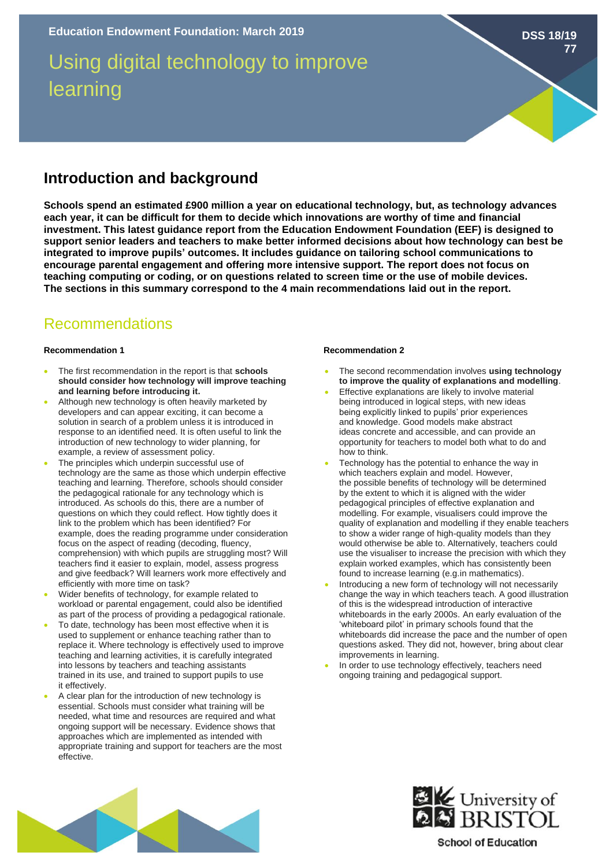# Using digital technology to improve learning

**DSS 18/19**

**77**

## **Introduction and background**

**Schools spend an estimated £900 million a year on educational technology, but, as technology advances each year, it can be difficult for them to decide which innovations are worthy of time and financial investment. This latest guidance report from the Education Endowment Foundation (EEF) is designed to support senior leaders and teachers to make better informed decisions about how technology can best be integrated to improve pupils' outcomes. It includes guidance on tailoring school communications to encourage parental engagement and offering more intensive support. The report does not focus on teaching computing or coding, or on questions related to screen time or the use of mobile devices. The sections in this summary correspond to the 4 main recommendations laid out in the report.** 

## Recommendations

## **Recommendation 1 Recommendation 2**

- The first recommendation in the report is that **schools should consider how technology will improve teaching and learning before introducing it.**
- Although new technology is often heavily marketed by developers and can appear exciting, it can become a solution in search of a problem unless it is introduced in response to an identified need. It is often useful to link the introduction of new technology to wider planning, for example, a review of assessment policy.
- The principles which underpin successful use of technology are the same as those which underpin effective teaching and learning. Therefore, schools should consider the pedagogical rationale for any technology which is introduced. As schools do this, there are a number of questions on which they could reflect. How tightly does it link to the problem which has been identified? For example, does the reading programme under consideration focus on the aspect of reading (decoding, fluency, comprehension) with which pupils are struggling most? Will teachers find it easier to explain, model, assess progress and give feedback? Will learners work more effectively and efficiently with more time on task?
- Wider benefits of technology, for example related to workload or parental engagement, could also be identified as part of the process of providing a pedagogical rationale.
- To date, technology has been most effective when it is used to supplement or enhance teaching rather than to replace it. Where technology is effectively used to improve teaching and learning activities, it is carefully integrated into lessons by teachers and teaching assistants trained in its use, and trained to support pupils to use it effectively.
- A clear plan for the introduction of new technology is essential. Schools must consider what training will be needed, what time and resources are required and what ongoing support will be necessary. Evidence shows that approaches which are implemented as intended with appropriate training and support for teachers are the most effective.

- The second recommendation involves **using technology to improve the quality of explanations and modelling**.
- Effective explanations are likely to involve material being introduced in logical steps, with new ideas being explicitly linked to pupils' prior experiences and knowledge. Good models make abstract ideas concrete and accessible, and can provide an opportunity for teachers to model both what to do and how to think.
- Technology has the potential to enhance the way in which teachers explain and model. However, the possible benefits of technology will be determined by the extent to which it is aligned with the wider pedagogical principles of effective explanation and modelling. For example, visualisers could improve the quality of explanation and modelling if they enable teachers to show a wider range of high-quality models than they would otherwise be able to. Alternatively, teachers could use the visualiser to increase the precision with which they explain worked examples, which has consistently been found to increase learning (e.g.in mathematics).
- Introducing a new form of technology will not necessarily change the way in which teachers teach. A good illustration of this is the widespread introduction of interactive whiteboards in the early 2000s. An early evaluation of the 'whiteboard pilot' in primary schools found that the whiteboards did increase the pace and the number of open questions asked. They did not, however, bring about clear improvements in learning.
- In order to use technology effectively, teachers need ongoing training and pedagogical support.